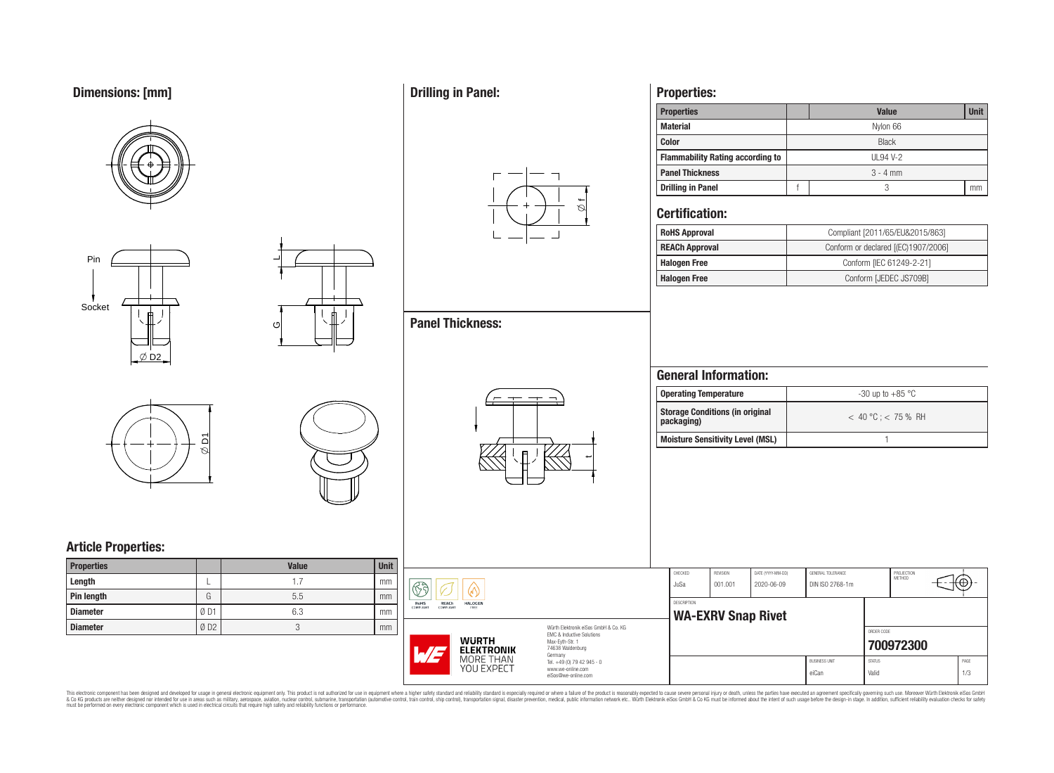# **Dimensions: [mm]**









 $\overline{\phantom{0}}$ 

ပ

# **Article Properties:**

| <b>Properties</b> |     | <b>Value</b> | <b>Unit</b> |
|-------------------|-----|--------------|-------------|
| Length            |     |              | mm          |
| Pin length        | G   | 5.5          | mm          |
| <b>Diameter</b>   | ØD1 | 6.3          | mm          |
| <b>Diameter</b>   | ØD2 |              | mm          |

## **Drilling in Panel:**

**Panel Thickness:**



 $\overline{\phantom{a}}$ 

## **Properties:**

| <b>Properties</b>                       |              | <b>Unit</b><br><b>Value</b> |  |  |  |  |  |  |  |
|-----------------------------------------|--------------|-----------------------------|--|--|--|--|--|--|--|
| <b>Material</b>                         |              | Nylon 66                    |  |  |  |  |  |  |  |
| <b>Color</b>                            | <b>Black</b> |                             |  |  |  |  |  |  |  |
| <b>Flammability Rating according to</b> | UL94 V-2     |                             |  |  |  |  |  |  |  |
| <b>Panel Thickness</b>                  | $3 - 4$ mm   |                             |  |  |  |  |  |  |  |
| <b>Drilling in Panel</b>                |              |                             |  |  |  |  |  |  |  |

### **Certification:**

| <b>RoHS Approval</b>  | Compliant [2011/65/EU&2015/863]     |  |  |  |
|-----------------------|-------------------------------------|--|--|--|
| <b>REACh Approval</b> | Conform or declared [(EC)1907/2006] |  |  |  |
| <b>Halogen Free</b>   | Conform [IEC 61249-2-21]            |  |  |  |
| <b>Halogen Free</b>   | Conform [JEDEC JS709B]              |  |  |  |

## **General Information:**

| <b>Operating Temperature</b>                  | $-30$ up to $+85$ °C    |
|-----------------------------------------------|-------------------------|
| Storage Conditions (in original<br>packaging) | $< 40 °C$ : $< 75 %$ RH |
| <b>Moisture Sensitivity Level (MSL)</b>       |                         |

| $\mathbb{S}$ g<br>6)                                                                                                                                 |                                                                                   | CHECKED<br>JuSa    | REVISION<br>001.001       | DATE (YYYY-MM-DD)<br>2020-06-09 | GENERAL TOLERANCE<br>DIN ISO 2768-1m |                        | PROJECTION<br>METHOD | τΦ          |
|------------------------------------------------------------------------------------------------------------------------------------------------------|-----------------------------------------------------------------------------------|--------------------|---------------------------|---------------------------------|--------------------------------------|------------------------|----------------------|-------------|
| REACh<br>RoHS<br><b>HALOGEN</b><br>COMPLIANT<br>COMPLIANT<br>FREE                                                                                    |                                                                                   | <b>DESCRIPTION</b> | <b>WA-EXRV Snap Rivet</b> |                                 |                                      |                        |                      |             |
| Würth Elektronik eiSos GmbH & Co. KG<br>EMC & Inductive Solutions<br><b>WURTH</b><br>Max-Eyth-Str. 1<br>74638 Waldenburg<br>177<br><b>ELEKTRONIK</b> |                                                                                   |                    |                           |                                 |                                      | ORDER CODE             | 700972300            |             |
| MORE THAN<br><b>YOU EXPECT</b>                                                                                                                       | Germany<br>Tel. +49 (0) 79 42 945 - 0<br>www.we-online.com<br>eiSos@we-online.com |                    |                           |                                 | <b>BUSINESS UNIT</b><br>eiCan        | <b>STATUS</b><br>Valid |                      | PAGE<br>1/3 |

This electronic component has been designed and developed for usage in general electronic equipment only. This product is not authorized for subserved requipment where a higher selection equipment where a higher selection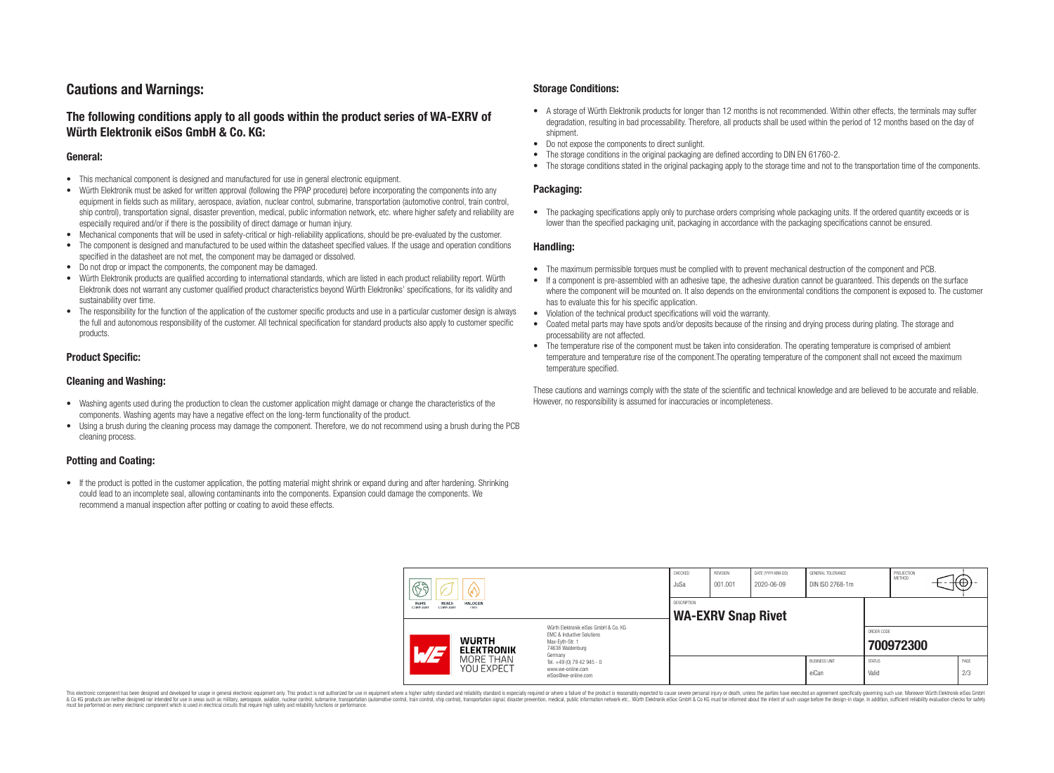## **Cautions and Warnings:**

### **The following conditions apply to all goods within the product series of WA-EXRV of Würth Elektronik eiSos GmbH & Co. KG:**

#### **General:**

- This mechanical component is designed and manufactured for use in general electronic equipment.
- Würth Elektronik must be asked for written approval (following the PPAP procedure) before incorporating the components into any equipment in fields such as military, aerospace, aviation, nuclear control, submarine, transportation (automotive control, train control, ship control), transportation signal, disaster prevention, medical, public information network, etc. where higher safety and reliability are especially required and/or if there is the possibility of direct damage or human injury.
- Mechanical components that will be used in safety-critical or high-reliability applications, should be pre-evaluated by the customer.
- The component is designed and manufactured to be used within the datasheet specified values. If the usage and operation conditions specified in the datasheet are not met, the component may be damaged or dissolved.
- Do not drop or impact the components, the component may be damaged.<br>• Wirth Elektronik products are qualified according to international standard
- Würth Elektronik products are qualified according to international standards, which are listed in each product reliability report. Würth Elektronik does not warrant any customer qualified product characteristics beyond Würth Elektroniks' specifications, for its validity and sustainability over time.
- The responsibility for the function of the application of the customer specific products and use in a particular customer design is always the full and autonomous responsibility of the customer. All technical specification for standard products also apply to customer specific products.

#### **Product Specific:**

#### **Cleaning and Washing:**

- Washing agents used during the production to clean the customer application might damage or change the characteristics of the components. Washing agents may have a negative effect on the long-term functionality of the product.
- Using a brush during the cleaning process may damage the component. Therefore, we do not recommend using a brush during the PCB cleaning process.

#### **Potting and Coating:**

• If the product is potted in the customer application, the potting material might shrink or expand during and after hardening. Shrinking could lead to an incomplete seal, allowing contaminants into the components. Expansion could damage the components. We recommend a manual inspection after potting or coating to avoid these effects.

#### **Storage Conditions:**

- A storage of Würth Elektronik products for longer than 12 months is not recommended. Within other effects, the terminals may suffer degradation, resulting in bad processability. Therefore, all products shall be used within the period of 12 months based on the day of shipment.
- Do not expose the components to direct sunlight.<br>• The storage conditions in the original packaging
- The storage conditions in the original packaging are defined according to DIN EN 61760-2.
- The storage conditions stated in the original packaging apply to the storage time and not to the transportation time of the components.

#### **Packaging:**

• The packaging specifications apply only to purchase orders comprising whole packaging units. If the ordered quantity exceeds or is lower than the specified packaging unit, packaging in accordance with the packaging specifications cannot be ensured.

#### **Handling:**

- The maximum permissible torques must be complied with to prevent mechanical destruction of the component and PCB.
- If a component is pre-assembled with an adhesive tape, the adhesive duration cannot be guaranteed. This depends on the surface where the component will be mounted on. It also depends on the environmental conditions the component is exposed to. The customer has to evaluate this for his specific application.
- Violation of the technical product specifications will void the warranty.
- Coated metal parts may have spots and/or deposits because of the rinsing and drying process during plating. The storage and processability are not affected.
- The temperature rise of the component must be taken into consideration. The operating temperature is comprised of ambient temperature and temperature rise of the component.The operating temperature of the component shall not exceed the maximum temperature specified.

These cautions and warnings comply with the state of the scientific and technical knowledge and are believed to be accurate and reliable. However, no responsibility is assumed for inaccuracies or incompleteness.

| $\mathbb{C}^2$                          |                                   |                                                                                                                     | CHECKED<br>JuSa | <b>REVISION</b><br>001.001 | DATE (YYYY-MM-DD)<br>2020-06-09 | GENERAL TOLERANCE<br>DIN ISO 2768-1m |                        | PROJECTION<br>METHOD | ₭⊕}         |
|-----------------------------------------|-----------------------------------|---------------------------------------------------------------------------------------------------------------------|-----------------|----------------------------|---------------------------------|--------------------------------------|------------------------|----------------------|-------------|
| RoHS<br>REACh<br>COMPLIANT<br>COMPLIANT | <b>HALOGEN</b><br>FREE            |                                                                                                                     | DESCRIPTION     | <b>WA-EXRV Snap Rivet</b>  |                                 |                                      |                        |                      |             |
| $\overline{\phantom{a}}$                | <b>WURTH</b><br><b>ELEKTRONIK</b> | Würth Elektronik eiSos GmbH & Co. KG<br>EMC & Inductive Solutions<br>Max-Evth-Str. 1<br>74638 Waldenburg<br>Germany |                 |                            |                                 |                                      | ORDER CODE             | 700972300            |             |
|                                         | MORE THAN<br>YOU EXPECT           | Tel. +49 (0) 79 42 945 - 0<br>www.we-online.com<br>eiSos@we-online.com                                              |                 |                            |                                 | <b>BUSINESS UNIT</b><br>eiCan        | <b>STATUS</b><br>Valid |                      | PAGE<br>2/3 |

This electronic component has been designed and developed for usage in general electronic equipment only. This product is not authorized for use in equipment where a higher safety standard and reliability standard si espec & Ook product a label and the membed of the seasuch as marked and as which such a membed and the such assume that income in the seasuch and the simulation and the such assume that include to the such a membed and the such